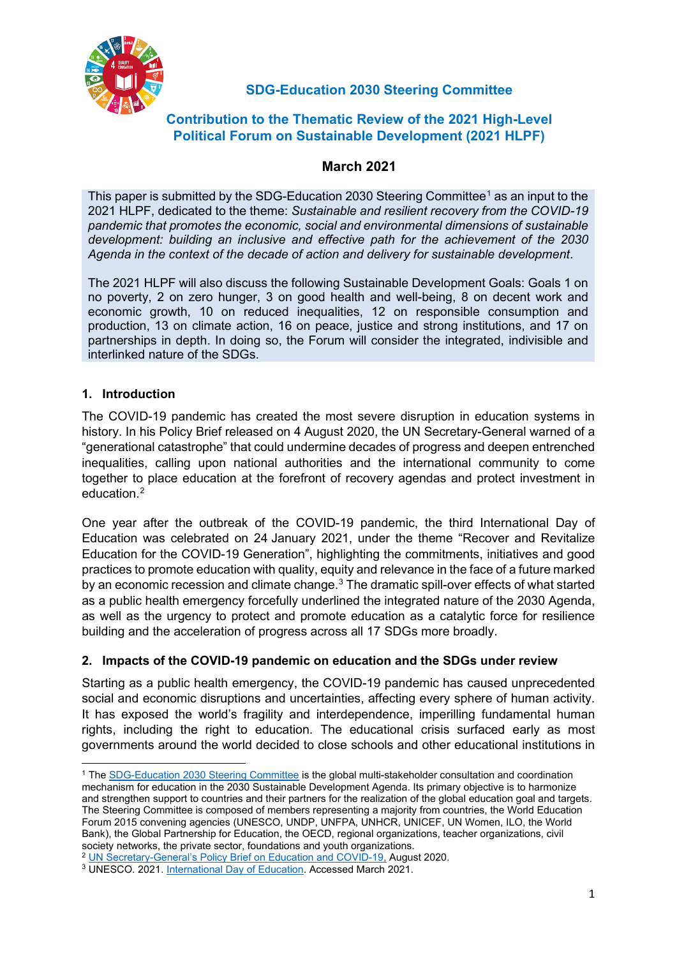

# **SDG-Education 2030 Steering Committee**

# **Contribution to the Thematic Review of the 2021 High-Level Political Forum on Sustainable Development (2021 HLPF)**

# **March 2021**

This paper is submitted by the SDG-Education 2030 Steering Committee<sup>[1](#page-0-0)</sup> as an input to the 2021 HLPF, dedicated to the theme: *Sustainable and resilient recovery from the COVID-19 pandemic that promotes the economic, social and environmental dimensions of sustainable development: building an inclusive and effective path for the achievement of the 2030 Agenda in the context of the decade of action and delivery for sustainable development*.

The 2021 HLPF will also discuss the following Sustainable Development Goals: Goals 1 on no poverty, 2 on zero hunger, 3 on good health and well-being, 8 on decent work and economic growth, 10 on reduced inequalities, 12 on responsible consumption and production, 13 on climate action, 16 on peace, justice and strong institutions, and 17 on partnerships in depth. In doing so, the Forum will consider the integrated, indivisible and interlinked nature of the SDGs.

# **1. Introduction**

The COVID-19 pandemic has created the most severe disruption in education systems in history. In his Policy Brief released on 4 August 2020, the UN Secretary-General warned of a "generational catastrophe" that could undermine decades of progress and deepen entrenched inequalities, calling upon national authorities and the international community to come together to place education at the forefront of recovery agendas and protect investment in education.[2](#page-0-1)

One year after the outbreak of the COVID-19 pandemic, the third International Day of Education was celebrated on 24 January 2021, under the theme "Recover and Revitalize Education for the COVID-19 Generation", highlighting the commitments, initiatives and good practices to promote education with quality, equity and relevance in the face of a future marked by an economic recession and climate change.<sup>[3](#page-0-2)</sup> The dramatic spill-over effects of what started as a public health emergency forcefully underlined the integrated nature of the 2030 Agenda, as well as the urgency to protect and promote education as a catalytic force for resilience building and the acceleration of progress across all 17 SDGs more broadly.

# **2. Impacts of the COVID-19 pandemic on education and the SDGs under review**

Starting as a public health emergency, the COVID-19 pandemic has caused unprecedented social and economic disruptions and uncertainties, affecting every sphere of human activity. It has exposed the world's fragility and interdependence, imperilling fundamental human rights, including the right to education. The educational crisis surfaced early as most governments around the world decided to close schools and other educational institutions in

<span id="page-0-0"></span><sup>1</sup> The [SDG-Education 2030 Steering Committee](https://sdg4education2030.org/who-we-are) is the global multi-stakeholder consultation and coordination mechanism for education in the 2030 Sustainable Development Agenda. Its primary objective is to harmonize and strengthen support to countries and their partners for the realization of the global education goal and targets. The Steering Committee is composed of members representing a majority from countries, the World Education Forum 2015 convening agencies (UNESCO, UNDP, UNFPA, UNHCR, UNICEF, UN Women, ILO, the World Bank), the Global Partnership for Education, the OECD, regional organizations, teacher organizations, civil society networks, the private sector, foundations and youth organizations.

<span id="page-0-1"></span><sup>&</sup>lt;sup>2</sup> [UN Secretary-General's Policy Brief on Education and COVID-19,](https://www.un.org/development/desa/dspd/wp-content/uploads/sites/22/2020/08/sg_policy_brief_covid-19_and_education_august_2020.pdf) August 2020.

<span id="page-0-2"></span><sup>3</sup> UNESCO. 2021. [International Day of Education.](https://en.unesco.org/commemorations/educationday) Accessed March 2021.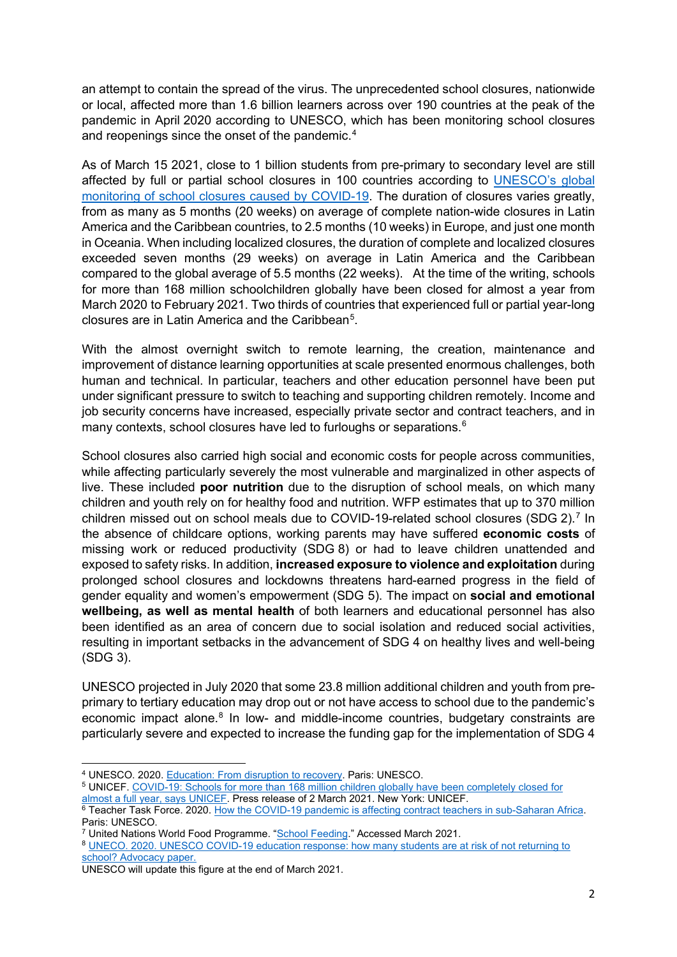an attempt to contain the spread of the virus. The unprecedented school closures, nationwide or local, affected more than 1.6 billion learners across over 190 countries at the peak of the pandemic in April 2020 according to UNESCO, which has been monitoring school closures and reopenings since the onset of the pandemic. [4](#page-1-0)

As of March 15 2021, close to 1 billion students from pre-primary to secondary level are still affected by full or partial school closures in 100 countries according to [UNESCO's global](https://en.unesco.org/covid19/educationresponse)  [monitoring of school closures caused by COVID-19.](https://en.unesco.org/covid19/educationresponse) The duration of closures varies greatly, from as many as 5 months (20 weeks) on average of complete nation-wide closures in Latin America and the Caribbean countries, to 2.5 months (10 weeks) in Europe, and just one month in Oceania. When including localized closures, the duration of complete and localized closures exceeded seven months (29 weeks) on average in Latin America and the Caribbean compared to the global average of 5.5 months (22 weeks). At the time of the writing, schools for more than 168 million schoolchildren globally have been closed for almost a year from March 2020 to February 2021. Two thirds of countries that experienced full or partial year-long closures are in Latin America and the Caribbean $5$ .

With the almost overnight switch to remote learning, the creation, maintenance and improvement of distance learning opportunities at scale presented enormous challenges, both human and technical. In particular, teachers and other education personnel have been put under significant pressure to switch to teaching and supporting children remotely. Income and job security concerns have increased, especially private sector and contract teachers, and in many contexts, school closures have led to furloughs or separations.<sup>[6](#page-1-2)</sup>

School closures also carried high social and economic costs for people across communities, while affecting particularly severely the most vulnerable and marginalized in other aspects of live. These included **poor nutrition** due to the disruption of school meals, on which many children and youth rely on for healthy food and nutrition. WFP estimates that up to 370 million children missed out on school meals due to COVID-19-related school closures (SDG 2). [7](#page-1-3) In the absence of childcare options, working parents may have suffered **economic costs** of missing work or reduced productivity (SDG 8) or had to leave children unattended and exposed to safety risks. In addition, **increased exposure to violence and exploitation** during prolonged school closures and lockdowns threatens hard-earned progress in the field of gender equality and women's empowerment (SDG 5). The impact on **social and emotional wellbeing, as well as mental health** of both learners and educational personnel has also been identified as an area of concern due to social isolation and reduced social activities, resulting in important setbacks in the advancement of SDG 4 on healthy lives and well-being (SDG 3).

UNESCO projected in July 2020 that some 23.8 million additional children and youth from preprimary to tertiary education may drop out or not have access to school due to the pandemic's economic impact alone.<sup>8</sup> In low- and middle-income countries, budgetary constraints are particularly severe and expected to increase the funding gap for the implementation of SDG 4

<span id="page-1-0"></span><sup>4</sup> UNESCO. 2020. [Education: From disruption to recovery.](https://en.unesco.org/covid19/educationresponse) Paris: UNESCO.

<span id="page-1-1"></span><sup>5</sup> UNICEF. [COVID-19: Schools for more than 168 million children globally have been completely closed for](https://www.unicef.org/press-releases/schools-more-168-million-children-globally-have-been-completely-closed) 

[almost a full year, says UNICEF.](https://www.unicef.org/press-releases/schools-more-168-million-children-globally-have-been-completely-closed) Press release of 2 March 2021. New York: UNICEF.

<span id="page-1-2"></span><sup>6</sup> Teacher Task Force. 2020. [How the COVID-19 pandemic is affecting contract teachers in sub-Saharan Africa.](https://teachertaskforce.org/how-covid-19-pandemic-affecting-contract-teachers-sub-saharan-africa) Paris: UNESCO.

<span id="page-1-3"></span><sup>7</sup> United Nations World Food Programme. ["School Feeding.](https://www.wfp.org/school-meals)" Accessed March 2021.

<span id="page-1-4"></span><sup>8</sup> [UNECO. 2020. UNESCO COVID-19 education response: how many students are at risk of not returning to](https://unesdoc.unesco.org/ark:/48223/pf0000373992)  [school? Advocacy paper.](https://unesdoc.unesco.org/ark:/48223/pf0000373992)

UNESCO will update this figure at the end of March 2021.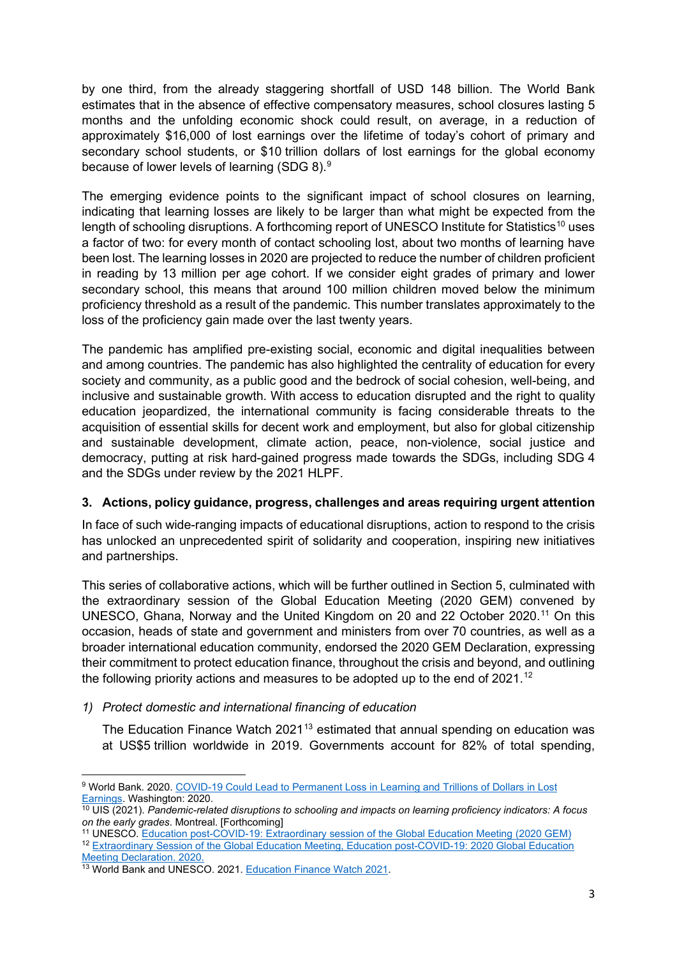by one third, from the already staggering shortfall of USD 148 billion. The World Bank estimates that in the absence of effective compensatory measures, school closures lasting 5 months and the unfolding economic shock could result, on average, in a reduction of approximately \$16,000 of lost earnings over the lifetime of today's cohort of primary and secondary school students, or \$10 trillion dollars of lost earnings for the global economy because of lower levels of learning (SDG 8). [9](#page-2-0)

The emerging evidence points to the significant impact of school closures on learning, indicating that learning losses are likely to be larger than what might be expected from the length of schooling disruptions. A forthcoming report of UNESCO Institute for Statistics<sup>10</sup> uses a factor of two: for every month of contact schooling lost, about two months of learning have been lost. The learning losses in 2020 are projected to reduce the number of children proficient in reading by 13 million per age cohort. If we consider eight grades of primary and lower secondary school, this means that around 100 million children moved below the minimum proficiency threshold as a result of the pandemic. This number translates approximately to the loss of the proficiency gain made over the last twenty years.

The pandemic has amplified pre-existing social, economic and digital inequalities between and among countries. The pandemic has also highlighted the centrality of education for every society and community, as a public good and the bedrock of social cohesion, well-being, and inclusive and sustainable growth. With access to education disrupted and the right to quality education jeopardized, the international community is facing considerable threats to the acquisition of essential skills for decent work and employment, but also for global citizenship and sustainable development, climate action, peace, non-violence, social justice and democracy, putting at risk hard-gained progress made towards the SDGs, including SDG 4 and the SDGs under review by the 2021 HLPF.

# **3. Actions, policy guidance, progress, challenges and areas requiring urgent attention**

In face of such wide-ranging impacts of educational disruptions, action to respond to the crisis has unlocked an unprecedented spirit of solidarity and cooperation, inspiring new initiatives and partnerships.

This series of collaborative actions, which will be further outlined in Section 5, culminated with the extraordinary session of the Global Education Meeting (2020 GEM) convened by UNESCO, Ghana, Norway and the United Kingdom on 20 and 22 October 2020.[11](#page-2-2) On this occasion, heads of state and government and ministers from over 70 countries, as well as a broader international education community, endorsed the 2020 GEM Declaration, expressing their commitment to protect education finance, throughout the crisis and beyond, and outlining the following priority actions and measures to be adopted up to the end of 2021.<sup>[12](#page-2-3)</sup>

#### *1) Protect domestic and international financing of education*

The Education Finance Watch  $2021^{13}$  $2021^{13}$  $2021^{13}$  estimated that annual spending on education was at US\$5 trillion worldwide in 2019. Governments account for 82% of total spending,

<span id="page-2-0"></span><sup>9</sup> World Bank. 2020[. COVID-19 Could Lead to Permanent Loss in Learning and Trillions of Dollars in Lost](https://www.worldbank.org/en/news/press-release/2020/06/18/covid-19-could-lead-to-permanent-loss-in-learning-and-trillions-of-dollars-in-lost-earnings)  [Earnings.](https://www.worldbank.org/en/news/press-release/2020/06/18/covid-19-could-lead-to-permanent-loss-in-learning-and-trillions-of-dollars-in-lost-earnings) Washington: 2020.

<span id="page-2-1"></span><sup>10</sup> UIS (2021). *Pandemic-related disruptions to schooling and impacts on learning proficiency indicators: A focus on the early grades*. Montreal. [Forthcoming]

<span id="page-2-2"></span><sup>11</sup> UNESCO[. Education post-COVID-19: Extraordinary session of the Global Education Meeting \(2020 GEM\)](https://en.unesco.org/news/education-post-covid-19-extraordinary-session-global-education-meeting-2020-gem)

<span id="page-2-3"></span><sup>12</sup> [Extraordinary Session of the Global Education Meeting, Education post-COVID-19: 2020 Global Education](https://unesdoc.unesco.org/ark:/48223/pf0000374704)  [Meeting Declaration. 2020.](https://unesdoc.unesco.org/ark:/48223/pf0000374704)

<span id="page-2-4"></span><sup>&</sup>lt;sup>13</sup> World Bank and UNESCO. 2021. [Education Finance Watch 2021.](https://en.unesco.org/gem-report/education-finance-watch-2021)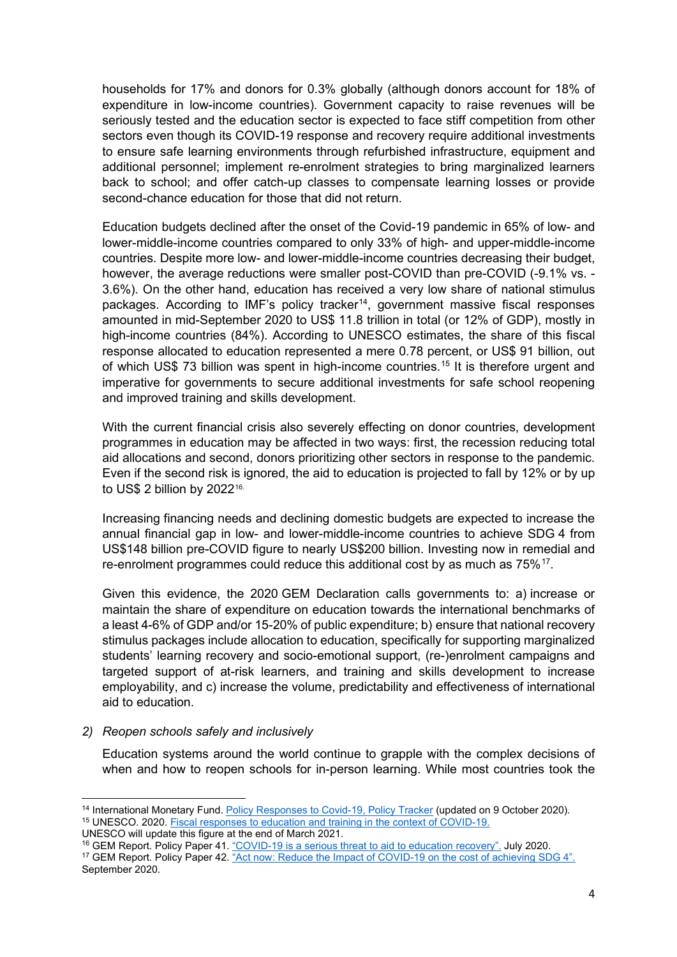households for 17% and donors for 0.3% globally (although donors account for 18% of expenditure in low-income countries). Government capacity to raise revenues will be seriously tested and the education sector is expected to face stiff competition from other sectors even though its COVID-19 response and recovery require additional investments to ensure safe learning environments through refurbished infrastructure, equipment and additional personnel; implement re-enrolment strategies to bring marginalized learners back to school; and offer catch-up classes to compensate learning losses or provide second-chance education for those that did not return.

Education budgets declined after the onset of the Covid-19 pandemic in 65% of low- and lower-middle-income countries compared to only 33% of high- and upper-middle-income countries. Despite more low- and lower-middle-income countries decreasing their budget, however, the average reductions were smaller post-COVID than pre-COVID (-9.1% vs. - 3.6%). On the other hand, education has received a very low share of national stimulus packages. According to IMF's policy tracker<sup>[14](#page-3-0)</sup>, government massive fiscal responses amounted in mid-September 2020 to US\$ 11.8 trillion in total (or 12% of GDP), mostly in high-income countries (84%). According to UNESCO estimates, the share of this fiscal response allocated to education represented a mere 0.78 percent, or US\$ 91 billion, out of which US\$ 73 billion was spent in high-income countries.<sup>[15](#page-3-1)</sup> It is therefore urgent and imperative for governments to secure additional investments for safe school reopening and improved training and skills development.

With the current financial crisis also severely effecting on donor countries, development programmes in education may be affected in two ways: first, the recession reducing total aid allocations and second, donors prioritizing other sectors in response to the pandemic. Even if the second risk is ignored, the aid to education is projected to fall by 12% or by up to US\$ 2 billion by 2022[16](#page-3-2).

Increasing financing needs and declining domestic budgets are expected to increase the annual financial gap in low- and lower-middle-income countries to achieve SDG 4 from US\$148 billion pre-COVID figure to nearly US\$200 billion. Investing now in remedial and re-enrolment programmes could reduce this additional cost by as much as 75%<sup>[17](#page-3-3)</sup>.

Given this evidence, the 2020 GEM Declaration calls governments to: a) increase or maintain the share of expenditure on education towards the international benchmarks of a least 4-6% of GDP and/or 15-20% of public expenditure; b) ensure that national recovery stimulus packages include allocation to education, specifically for supporting marginalized students' learning recovery and socio-emotional support, (re-)enrolment campaigns and targeted support of at-risk learners, and training and skills development to increase employability, and c) increase the volume, predictability and effectiveness of international aid to education.

#### *2) Reopen schools safely and inclusively*

Education systems around the world continue to grapple with the complex decisions of when and how to reopen schools for in-person learning. While most countries took the

<span id="page-3-0"></span><sup>&</sup>lt;sup>14</sup> International Monetary Fund. Policy Responses to Covid-19, Policy Tracker (updated on 9 October 2020).<br><sup>15</sup> UNESCO. 2020[. Fiscal responses to education and training in the context of COVID-19.](https://unesdoc.unesco.org/ark:/48223/pf0000374685)

<span id="page-3-1"></span>UNESCO will update this figure at the end of March 2021.

<sup>&</sup>lt;sup>16</sup> GEM Report. Policy Paper 41. ["COVID-19 is a serious threat to aid to education recovery".](https://en.unesco.org/gem-report/node/3141) July 2020.

<span id="page-3-3"></span><span id="page-3-2"></span><sup>&</sup>lt;sup>17</sup> GEM Report. Policy Paper 42. ["Act now: Reduce the Impact of COVID-19 on the cost of achieving SDG](https://en.unesco.org/gem-report/COVIDcostSDG4#:%7E:text=2020-,Act%20now%3A%20Reduce%20the%20impact%20of%20COVID%2D19%20on%20the,cost%20of%20achieving%20SDG%204&text=Additional%20costs%20due%20to%20COVID,by%20as%20much%20as%2075%25.) 4". September 2020.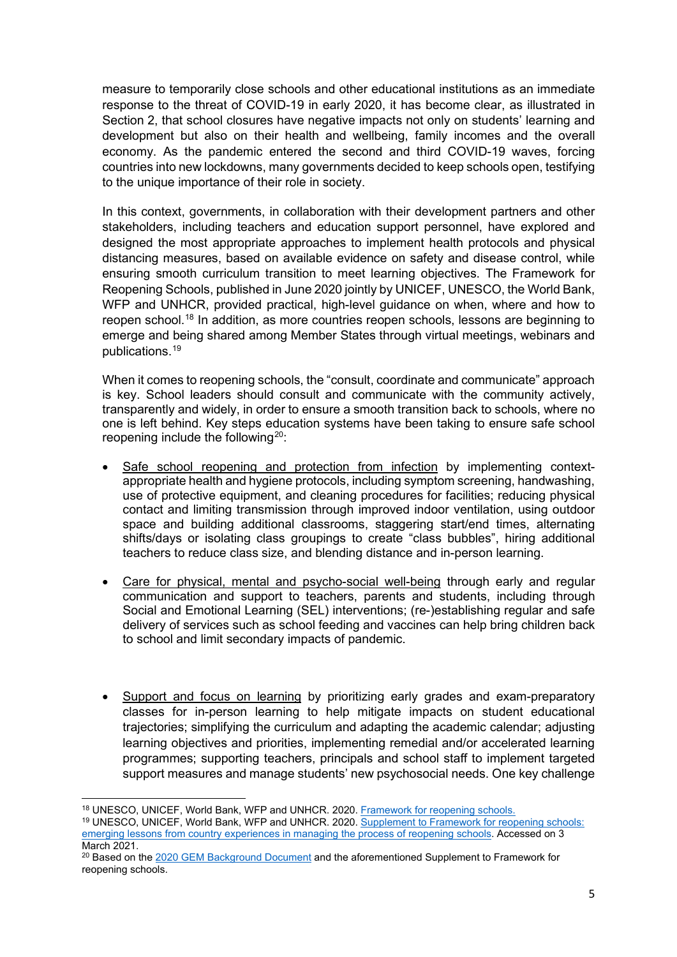measure to temporarily close schools and other educational institutions as an immediate response to the threat of COVID-19 in early 2020, it has become clear, as illustrated in Section 2, that school closures have negative impacts not only on students' learning and development but also on their health and wellbeing, family incomes and the overall economy. As the pandemic entered the second and third COVID-19 waves, forcing countries into new lockdowns, many governments decided to keep schools open, testifying to the unique importance of their role in society.

In this context, governments, in collaboration with their development partners and other stakeholders, including teachers and education support personnel, have explored and designed the most appropriate approaches to implement health protocols and physical distancing measures, based on available evidence on safety and disease control, while ensuring smooth curriculum transition to meet learning objectives. The Framework for Reopening Schools, published in June 2020 jointly by UNICEF, UNESCO, the World Bank, WFP and UNHCR, provided practical, high-level guidance on when, where and how to reopen school.<sup>[18](#page-4-0)</sup> In addition, as more countries reopen schools, lessons are beginning to emerge and being shared among Member States through virtual meetings, webinars and publications. [19](#page-4-1)

When it comes to reopening schools, the "consult, coordinate and communicate" approach is key. School leaders should consult and communicate with the community actively, transparently and widely, in order to ensure a smooth transition back to schools, where no one is left behind. Key steps education systems have been taking to ensure safe school reopening include the following $20$ :

- Safe school reopening and protection from infection by implementing contextappropriate health and hygiene protocols, including symptom screening, handwashing, use of protective equipment, and cleaning procedures for facilities; reducing physical contact and limiting transmission through improved indoor ventilation, using outdoor space and building additional classrooms, staggering start/end times, alternating shifts/days or isolating class groupings to create "class bubbles", hiring additional teachers to reduce class size, and blending distance and in-person learning.
- Care for physical, mental and psycho-social well-being through early and regular communication and support to teachers, parents and students, including through Social and Emotional Learning (SEL) interventions; (re-)establishing regular and safe delivery of services such as school feeding and vaccines can help bring children back to school and limit secondary impacts of pandemic.
- Support and focus on learning by prioritizing early grades and exam-preparatory classes for in-person learning to help mitigate impacts on student educational trajectories; simplifying the curriculum and adapting the academic calendar; adjusting learning objectives and priorities, implementing remedial and/or accelerated learning programmes; supporting teachers, principals and school staff to implement targeted support measures and manage students' new psychosocial needs. One key challenge

<sup>18</sup> UNESCO, UNICEF, World Bank, WFP and UNHCR. 2020. [Framework for reopening schools.](https://unesdoc.unesco.org/ark:/48223/pf0000373348)

<span id="page-4-1"></span><span id="page-4-0"></span><sup>19</sup> UNESCO, UNICEF, World Bank, WFP and UNHCR. 2020. [Supplement to Framework for reopening schools:](https://unesdoc.unesco.org/ark:/48223/pf0000374312)  [emerging lessons from country experiences in managing the process of reopening schools.](https://unesdoc.unesco.org/ark:/48223/pf0000374312) Accessed on 3 March 2021.

<span id="page-4-2"></span><sup>20</sup> Based on the 2020 [GEM Background Document](https://en.unesco.org/sites/default/files/gem2020-extraordinary-session-background-document-en.pdf) and the aforementioned Supplement to Framework for reopening schools.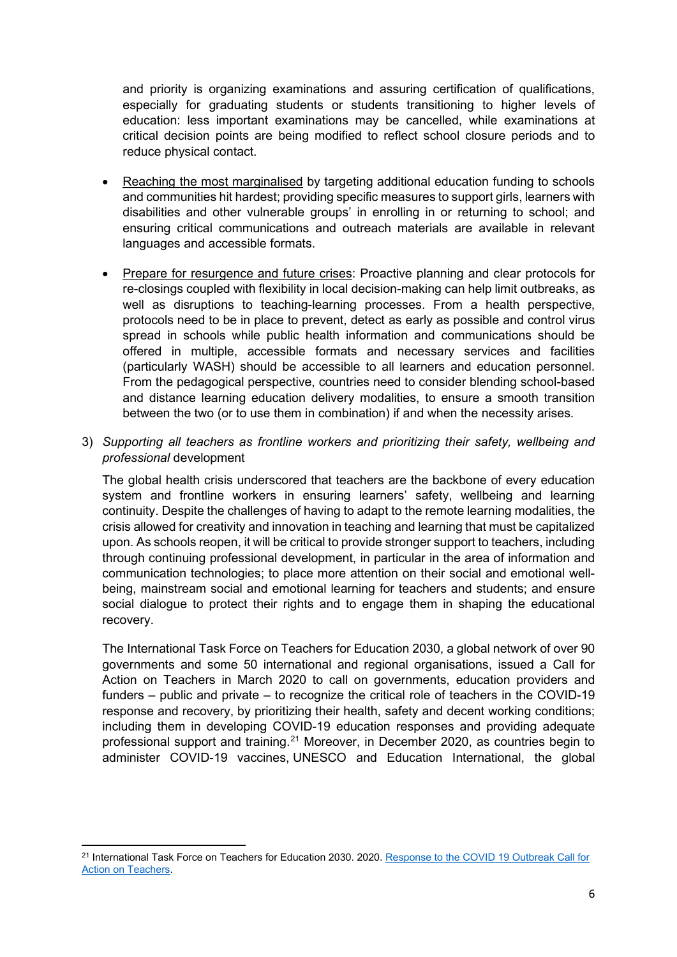and priority is organizing examinations and assuring certification of qualifications, especially for graduating students or students transitioning to higher levels of education: less important examinations may be cancelled, while examinations at critical decision points are being modified to reflect school closure periods and to reduce physical contact.

- Reaching the most marginalised by targeting additional education funding to schools and communities hit hardest; providing specific measures to support girls, learners with disabilities and other vulnerable groups' in enrolling in or returning to school; and ensuring critical communications and outreach materials are available in relevant languages and accessible formats.
- Prepare for resurgence and future crises: Proactive planning and clear protocols for re-closings coupled with flexibility in local decision-making can help limit outbreaks, as well as disruptions to teaching-learning processes. From a health perspective, protocols need to be in place to prevent, detect as early as possible and control virus spread in schools while public health information and communications should be offered in multiple, accessible formats and necessary services and facilities (particularly WASH) should be accessible to all learners and education personnel. From the pedagogical perspective, countries need to consider blending school-based and distance learning education delivery modalities, to ensure a smooth transition between the two (or to use them in combination) if and when the necessity arises.
- 3) *Supporting all teachers as frontline workers and prioritizing their safety, wellbeing and professional* development

The global health crisis underscored that teachers are the backbone of every education system and frontline workers in ensuring learners' safety, wellbeing and learning continuity. Despite the challenges of having to adapt to the remote learning modalities, the crisis allowed for creativity and innovation in teaching and learning that must be capitalized upon. As schools reopen, it will be critical to provide stronger support to teachers, including through continuing professional development, in particular in the area of information and communication technologies; to place more attention on their social and emotional wellbeing, mainstream social and emotional learning for teachers and students; and ensure social dialogue to protect their rights and to engage them in shaping the educational recovery.

The International Task Force on Teachers for Education 2030, a global network of over 90 governments and some 50 international and regional organisations, issued a Call for Action on Teachers in March 2020 to call on governments, education providers and funders – public and private – to recognize the critical role of teachers in the COVID-19 response and recovery, by prioritizing their health, safety and decent working conditions; including them in developing COVID-19 education responses and providing adequate professional support and training.<sup>[21](#page-5-0)</sup> Moreover, in December 2020, as countries begin to administer COVID-19 vaccines, UNESCO and Education International, the global

<span id="page-5-0"></span><sup>&</sup>lt;sup>21</sup> International Task Force on Teachers for Education 2030. 2020. Response to the COVID 19 Outbreak Call for [Action on Teachers.](https://teachertaskforce.org/knowledge-hub/response-covid-19-outbreak-call-action-teachers-0)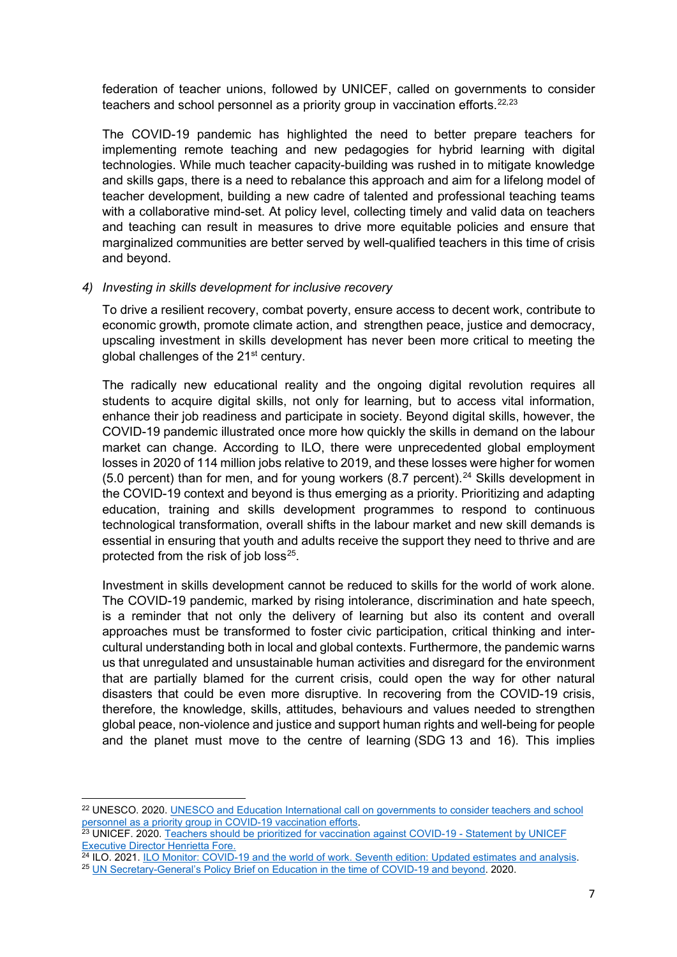federation of teacher unions, followed by UNICEF, called on governments to consider teachers and school personnel as a priority group in vaccination efforts.  $22,23$  $22,23$  $22,23$ 

The COVID-19 pandemic has highlighted the need to better prepare teachers for implementing remote teaching and new pedagogies for hybrid learning with digital technologies. While much teacher capacity-building was rushed in to mitigate knowledge and skills gaps, there is a need to rebalance this approach and aim for a lifelong model of teacher development, building a new cadre of talented and professional teaching teams with a collaborative mind-set. At policy level, collecting timely and valid data on teachers and teaching can result in measures to drive more equitable policies and ensure that marginalized communities are better served by well-qualified teachers in this time of crisis and beyond.

#### *4) Investing in skills development for inclusive recovery*

To drive a resilient recovery, combat poverty, ensure access to decent work, contribute to economic growth, promote climate action, and strengthen peace, justice and democracy, upscaling investment in skills development has never been more critical to meeting the global challenges of the 21<sup>st</sup> century.

The radically new educational reality and the ongoing digital revolution requires all students to acquire digital skills, not only for learning, but to access vital information, enhance their job readiness and participate in society. Beyond digital skills, however, the COVID-19 pandemic illustrated once more how quickly the skills in demand on the labour market can change. According to ILO, there were unprecedented global employment losses in 2020 of 114 million jobs relative to 2019, and these losses were higher for women (5.0 percent) than for men, and for young workers (8.7 percent). [24](#page-6-2) Skills development in the COVID-19 context and beyond is thus emerging as a priority. Prioritizing and adapting education, training and skills development programmes to respond to continuous technological transformation, overall shifts in the labour market and new skill demands is essential in ensuring that youth and adults receive the support they need to thrive and are protected from the risk of job  $loss^{25}$  $loss^{25}$  $loss^{25}$ .

Investment in skills development cannot be reduced to skills for the world of work alone. The COVID-19 pandemic, marked by rising intolerance, discrimination and hate speech, is a reminder that not only the delivery of learning but also its content and overall approaches must be transformed to foster civic participation, critical thinking and intercultural understanding both in local and global contexts. Furthermore, the pandemic warns us that unregulated and unsustainable human activities and disregard for the environment that are partially blamed for the current crisis, could open the way for other natural disasters that could be even more disruptive. In recovering from the COVID-19 crisis, therefore, the knowledge, skills, attitudes, behaviours and values needed to strengthen global peace, non-violence and justice and support human rights and well-being for people and the planet must move to the centre of learning (SDG 13 and 16). This implies

<span id="page-6-0"></span><sup>22</sup> UNESCO. 2020[. UNESCO and Education International call on governments to consider teachers and school](https://en.unesco.org/news/unesco-and-education-international-call-governments-consider-teachers-and-school-personnel)  [personnel as a priority group in COVID-19 vaccination efforts.](https://en.unesco.org/news/unesco-and-education-international-call-governments-consider-teachers-and-school-personnel)

<span id="page-6-1"></span><sup>&</sup>lt;sup>23</sup> UNICEF. 2020[. Teachers should be prioritized for vaccination against COVID-19 -](https://www.unicef.org/press-releases/teachers-should-be-prioritized-vaccination-against-covid-19) Statement by UNICEF [Executive Director Henrietta Fore.](https://www.unicef.org/press-releases/teachers-should-be-prioritized-vaccination-against-covid-19)

<span id="page-6-2"></span><sup>&</sup>lt;sup>24</sup> ILO. 2021. <u>ILO Monitor: COVID-19 and the world of work. Seventh edition: Updated estimates and analysis.<br><sup>25</sup> <u>UN Secretary-General's Policy Brief on Education in the time of COVID-19 and beyond</u>. 2020.</u>

<span id="page-6-3"></span>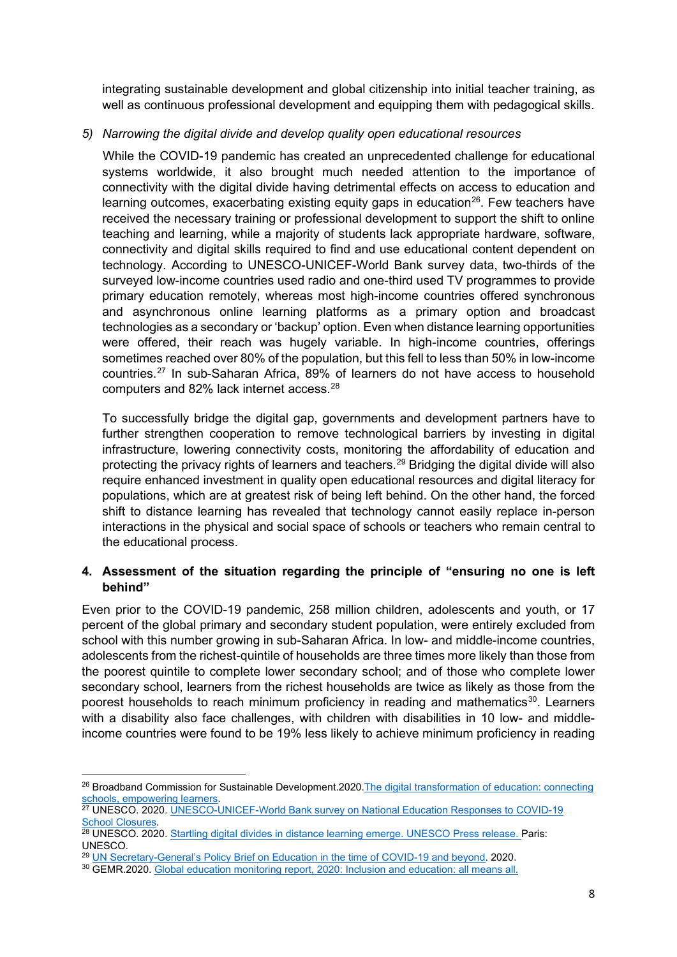integrating sustainable development and global citizenship into initial teacher training, as well as continuous professional development and equipping them with pedagogical skills.

# *5) Narrowing the digital divide and develop quality open educational resources*

While the COVID-19 pandemic has created an unprecedented challenge for educational systems worldwide, it also brought much needed attention to the importance of connectivity with the digital divide having detrimental effects on access to education and learning outcomes, exacerbating existing equity gaps in education<sup>26</sup>. Few teachers have received the necessary training or professional development to support the shift to online teaching and learning, while a majority of students lack appropriate hardware, software, connectivity and digital skills required to find and use educational content dependent on technology. According to UNESCO-UNICEF-World Bank survey data, two-thirds of the surveyed low-income countries used radio and one-third used TV programmes to provide primary education remotely, whereas most high-income countries offered synchronous and asynchronous online learning platforms as a primary option and broadcast technologies as a secondary or 'backup' option. Even when distance learning opportunities were offered, their reach was hugely variable. In high-income countries, offerings sometimes reached over 80% of the population, but this fell to less than 50% in low-income countries.[27](#page-7-1) In sub-Saharan Africa, 89% of learners do not have access to household computers and 82% lack internet access.[28](#page-7-2)

To successfully bridge the digital gap, governments and development partners have to further strengthen cooperation to remove technological barriers by investing in digital infrastructure, lowering connectivity costs, monitoring the affordability of education and protecting the privacy rights of learners and teachers. [29](#page-7-3) Bridging the digital divide will also require enhanced investment in quality open educational resources and digital literacy for populations, which are at greatest risk of being left behind. On the other hand, the forced shift to distance learning has revealed that technology cannot easily replace in-person interactions in the physical and social space of schools or teachers who remain central to the educational process.

# **4. Assessment of the situation regarding the principle of "ensuring no one is left behind"**

Even prior to the COVID-19 pandemic, 258 million children, adolescents and youth, or 17 percent of the global primary and secondary student population, were entirely excluded from school with this number growing in sub-Saharan Africa. In low- and middle-income countries, adolescents from the richest-quintile of households are three times more likely than those from the poorest quintile to complete lower secondary school; and of those who complete lower secondary school, learners from the richest households are twice as likely as those from the poorest households to reach minimum proficiency in reading and mathematics<sup>[30](#page-7-4)</sup>. Learners with a disability also face challenges, with children with disabilities in 10 low- and middleincome countries were found to be 19% less likely to achieve minimum proficiency in reading

<span id="page-7-0"></span><sup>&</sup>lt;sup>26</sup> Broadband Commission for Sustainable Development.2020. The digital transformation of education: connecting [schools, empowering learners.](https://unesdoc.unesco.org/ark:/48223/pf0000374309)

<span id="page-7-1"></span><sup>&</sup>lt;sup>27</sup> UNESCO. 2020. <u>UNESCO-UNICEF-World Bank survey on National Education Responses to COVID-19</u> [School Closures.](http://tcg.uis.unesco.org/survey-education-covid-school-closures/)<br><sup>28</sup> UNESCO. 2020[. Startling digital divides in distance learning emerge. UNESCO Press release.](https://en.unesco.org/news/startling-digital-divides-distance-learning-emerge) Paris:

<span id="page-7-2"></span>UNESCO.<br><sup>29</sup> UN Secretary-General's Policy Brief on Education in the time of COVID-19 and beyond. 2020.

<span id="page-7-3"></span>

<span id="page-7-4"></span><sup>&</sup>lt;sup>30</sup> GEMR.2020[. Global education monitoring report, 2020: Inclusion and education: all means all.](https://unesdoc.unesco.org/ark:/48223/pf0000373718)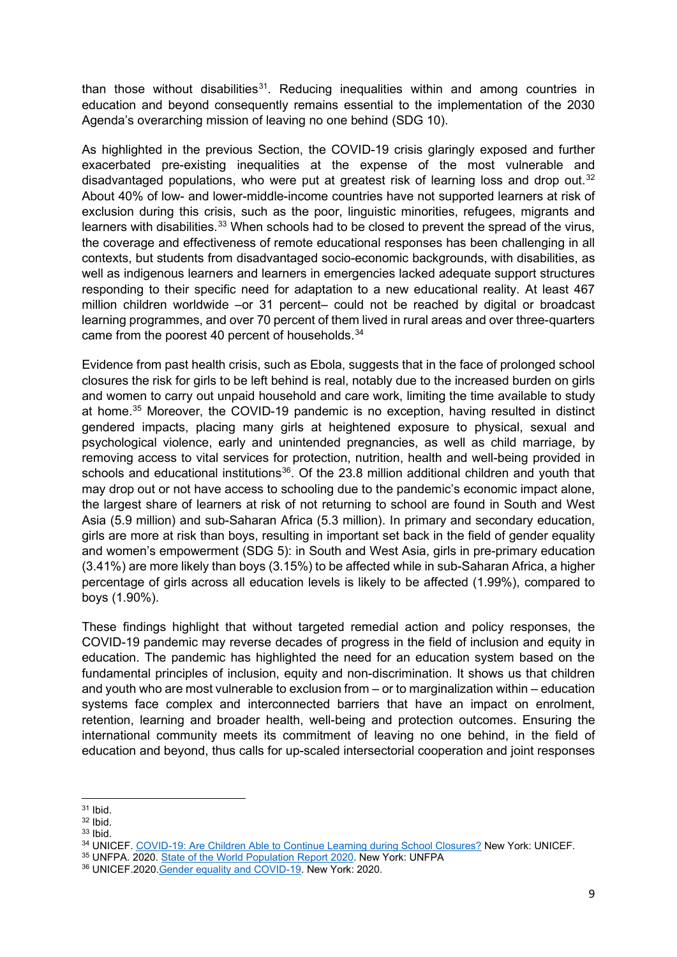than those without disabilities<sup>[31](#page-8-0)</sup>. Reducing inequalities within and among countries in education and beyond consequently remains essential to the implementation of the 2030 Agenda's overarching mission of leaving no one behind (SDG 10).

As highlighted in the previous Section, the COVID-19 crisis glaringly exposed and further exacerbated pre-existing inequalities at the expense of the most vulnerable and disadvantaged populations, who were put at greatest risk of learning loss and drop out.<sup>[32](#page-8-1)</sup> About 40% of low- and lower-middle-income countries have not supported learners at risk of exclusion during this crisis, such as the poor, linguistic minorities, refugees, migrants and learners with disabilities.<sup>[33](#page-8-2)</sup> When schools had to be closed to prevent the spread of the virus, the coverage and effectiveness of remote educational responses has been challenging in all contexts, but students from disadvantaged socio-economic backgrounds, with disabilities, as well as indigenous learners and learners in emergencies lacked adequate support structures responding to their specific need for adaptation to a new educational reality. At least 467 million children worldwide –or 31 percent– could not be reached by digital or broadcast learning programmes, and over 70 percent of them lived in rural areas and over three-quarters came from the poorest 40 percent of households.<sup>[34](#page-8-3)</sup>

Evidence from past health crisis, such as Ebola, suggests that in the face of prolonged school closures the risk for girls to be left behind is real, notably due to the increased burden on girls and women to carry out unpaid household and care work, limiting the time available to study at home.[35](#page-8-4) Moreover, the COVID-19 pandemic is no exception, having resulted in distinct gendered impacts, placing many girls at heightened exposure to physical, sexual and psychological violence, early and unintended pregnancies, as well as child marriage, by removing access to vital services for protection, nutrition, health and well-being provided in schools and educational institutions<sup>36</sup>. Of the 23.8 million additional children and youth that may drop out or not have access to schooling due to the pandemic's economic impact alone, the largest share of learners at risk of not returning to school are found in South and West Asia (5.9 million) and sub-Saharan Africa (5.3 million). In primary and secondary education, girls are more at risk than boys, resulting in important set back in the field of gender equality and women's empowerment (SDG 5): in South and West Asia, girls in pre-primary education (3.41%) are more likely than boys (3.15%) to be affected while in sub-Saharan Africa, a higher percentage of girls across all education levels is likely to be affected (1.99%), compared to boys (1.90%).

These findings highlight that without targeted remedial action and policy responses, the COVID-19 pandemic may reverse decades of progress in the field of inclusion and equity in education. The pandemic has highlighted the need for an education system based on the fundamental principles of inclusion, equity and non-discrimination. It shows us that children and youth who are most vulnerable to exclusion from – or to marginalization within – education systems face complex and interconnected barriers that have an impact on enrolment, retention, learning and broader health, well-being and protection outcomes. Ensuring the international community meets its commitment of leaving no one behind, in the field of education and beyond, thus calls for up-scaled intersectorial cooperation and joint responses

<span id="page-8-0"></span><sup>31</sup> Ibid.

<span id="page-8-1"></span><sup>32</sup> Ibid.

<span id="page-8-2"></span><sup>33</sup> Ibid.

<span id="page-8-3"></span><sup>34</sup> UNICEF[. COVID-19: Are Children Able to Continue Learning during School Closures?](https://data.unicef.org/resources/remote-learning-reachability-factsheet/) New York: UNICEF.

<span id="page-8-4"></span><sup>&</sup>lt;sup>35</sup> UNFPA. 2020[. State of the World Population Report 2020.](https://www.unfpa.org/swop) New York: UNFPA <sup>36</sup> UNICEF.2020. Gender equality and COVID-19. New York: 2020.

<span id="page-8-5"></span>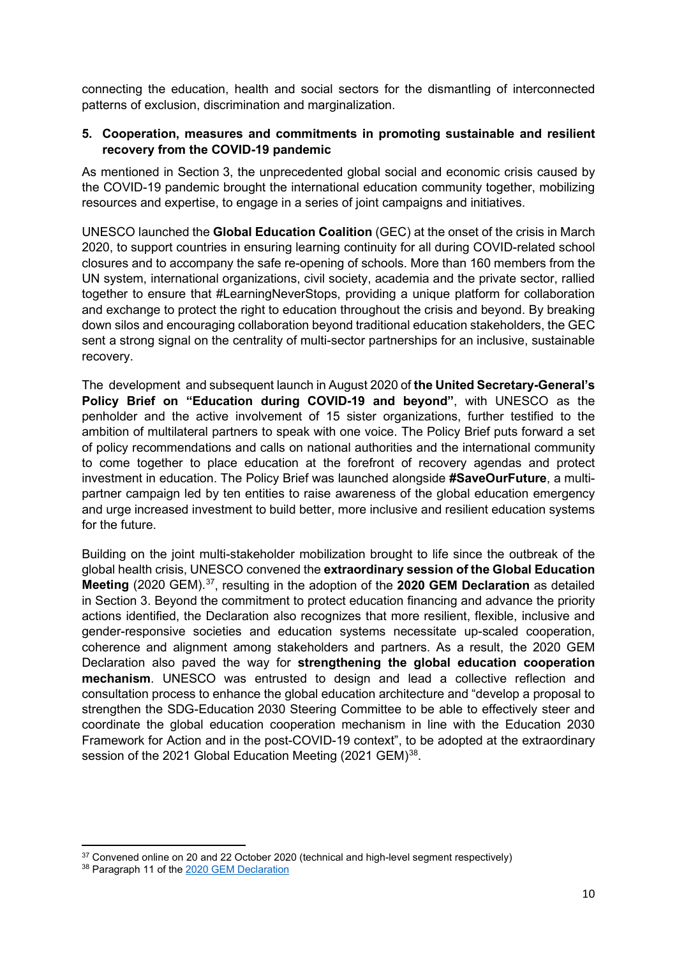connecting the education, health and social sectors for the dismantling of interconnected patterns of exclusion, discrimination and marginalization.

# **5. Cooperation, measures and commitments in promoting sustainable and resilient recovery from the COVID-19 pandemic**

As mentioned in Section 3, the unprecedented global social and economic crisis caused by the COVID-19 pandemic brought the international education community together, mobilizing resources and expertise, to engage in a series of joint campaigns and initiatives.

UNESCO launched the **Global Education Coalition** (GEC) at the onset of the crisis in March 2020, to support countries in ensuring learning continuity for all during COVID-related school closures and to accompany the safe re-opening of schools. More than 160 members from the UN system, international organizations, civil society, academia and the private sector, rallied together to ensure that #LearningNeverStops, providing a unique platform for collaboration and exchange to protect the right to education throughout the crisis and beyond. By breaking down silos and encouraging collaboration beyond traditional education stakeholders, the GEC sent a strong signal on the centrality of multi-sector partnerships for an inclusive, sustainable recovery.

The development and subsequent launch in August 2020 of **the United Secretary-General's Policy Brief on "Education during COVID-19 and beyond"**, with UNESCO as the penholder and the active involvement of 15 sister organizations, further testified to the ambition of multilateral partners to speak with one voice. The Policy Brief puts forward a set of policy recommendations and calls on national authorities and the international community to come together to place education at the forefront of recovery agendas and protect investment in education. The Policy Brief was launched alongside **#SaveOurFuture**, a multipartner campaign led by ten entities to raise awareness of the global education emergency and urge increased investment to build better, more inclusive and resilient education systems for the future.

Building on the joint multi-stakeholder mobilization brought to life since the outbreak of the global health crisis, UNESCO convened the **extraordinary session of the Global Education Meeting** (2020 GEM). [37,](#page-9-0) resulting in the adoption of the **2020 GEM Declaration** as detailed in Section 3. Beyond the commitment to protect education financing and advance the priority actions identified, the Declaration also recognizes that more resilient, flexible, inclusive and gender-responsive societies and education systems necessitate up-scaled cooperation, coherence and alignment among stakeholders and partners. As a result, the 2020 GEM Declaration also paved the way for **strengthening the global education cooperation mechanism**. UNESCO was entrusted to design and lead a collective reflection and consultation process to enhance the global education architecture and "develop a proposal to strengthen the SDG-Education 2030 Steering Committee to be able to effectively steer and coordinate the global education cooperation mechanism in line with the Education 2030 Framework for Action and in the post-COVID-19 context", to be adopted at the extraordinary session of the 2021 Global Education Meeting (2021 GEM)<sup>38</sup>.

<span id="page-9-0"></span><sup>&</sup>lt;sup>37</sup> Convened online on 20 and 22 October 2020 (technical and high-level segment respectively)

<span id="page-9-1"></span><sup>38</sup> Paragraph 11 of the [2020 GEM Declaration](https://unesdoc.unesco.org/ark:/48223/pf0000374704)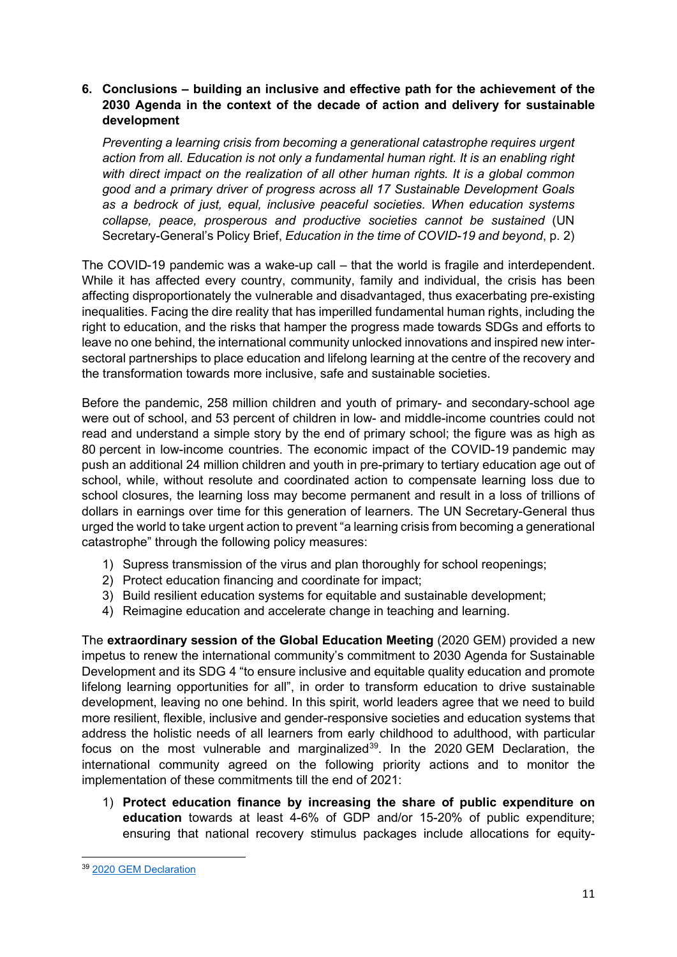# **6. Conclusions – building an inclusive and effective path for the achievement of the 2030 Agenda in the context of the decade of action and delivery for sustainable development**

*Preventing a learning crisis from becoming a generational catastrophe requires urgent action from all. Education is not only a fundamental human right. It is an enabling right with direct impact on the realization of all other human rights. It is a global common good and a primary driver of progress across all 17 Sustainable Development Goals as a bedrock of just, equal, inclusive peaceful societies. When education systems collapse, peace, prosperous and productive societies cannot be sustained* (UN Secretary-General's Policy Brief, *Education in the time of COVID-19 and beyond*, p. 2)

The COVID-19 pandemic was a wake-up call – that the world is fragile and interdependent. While it has affected every country, community, family and individual, the crisis has been affecting disproportionately the vulnerable and disadvantaged, thus exacerbating pre-existing inequalities. Facing the dire reality that has imperilled fundamental human rights, including the right to education, and the risks that hamper the progress made towards SDGs and efforts to leave no one behind, the international community unlocked innovations and inspired new intersectoral partnerships to place education and lifelong learning at the centre of the recovery and the transformation towards more inclusive, safe and sustainable societies.

Before the pandemic, 258 million children and youth of primary- and secondary-school age were out of school, and 53 percent of children in low- and middle-income countries could not read and understand a simple story by the end of primary school; the figure was as high as 80 percent in low-income countries. The economic impact of the COVID-19 pandemic may push an additional 24 million children and youth in pre-primary to tertiary education age out of school, while, without resolute and coordinated action to compensate learning loss due to school closures, the learning loss may become permanent and result in a loss of trillions of dollars in earnings over time for this generation of learners. The UN Secretary-General thus urged the world to take urgent action to prevent "a learning crisis from becoming a generational catastrophe" through the following policy measures:

- 1) Supress transmission of the virus and plan thoroughly for school reopenings;
- 2) Protect education financing and coordinate for impact;
- 3) Build resilient education systems for equitable and sustainable development;
- 4) Reimagine education and accelerate change in teaching and learning.

The **extraordinary session of the Global Education Meeting** (2020 GEM) provided a new impetus to renew the international community's commitment to 2030 Agenda for Sustainable Development and its SDG 4 "to ensure inclusive and equitable quality education and promote lifelong learning opportunities for all", in order to transform education to drive sustainable development, leaving no one behind. In this spirit, world leaders agree that we need to build more resilient, flexible, inclusive and gender-responsive societies and education systems that address the holistic needs of all learners from early childhood to adulthood, with particular focus on the most vulnerable and marginalized<sup>39</sup>. In the 2020 GEM Declaration, the international community agreed on the following priority actions and to monitor the implementation of these commitments till the end of 2021:

1) **Protect education finance by increasing the share of public expenditure on education** towards at least 4-6% of GDP and/or 15-20% of public expenditure; ensuring that national recovery stimulus packages include allocations for equity-

<span id="page-10-0"></span><sup>39</sup> 2020 [GEM Declaration](https://unesdoc.unesco.org/ark:/48223/pf0000374704)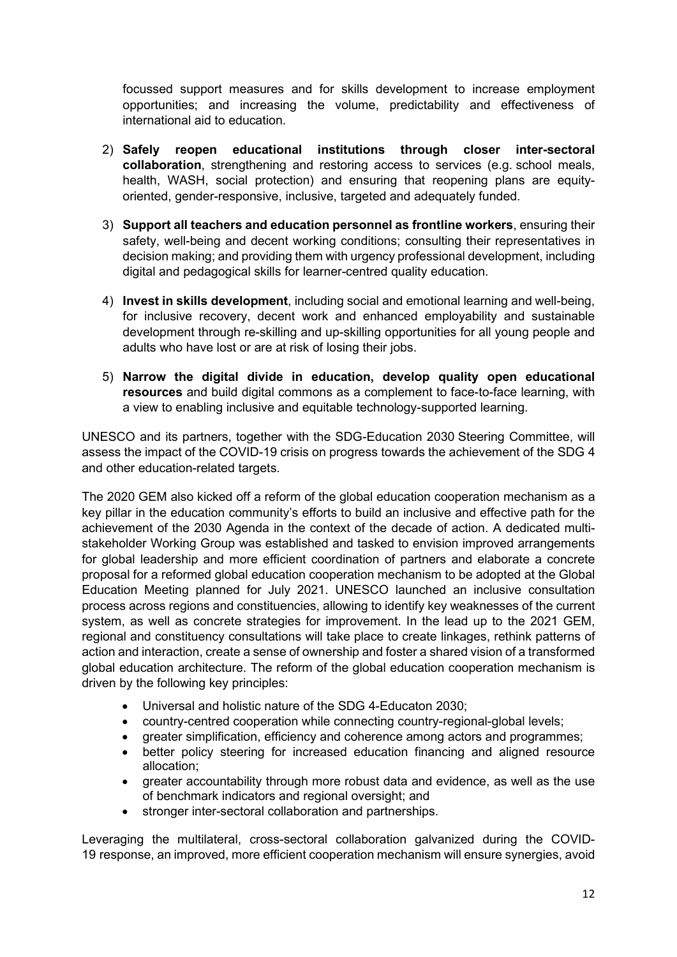focussed support measures and for skills development to increase employment opportunities; and increasing the volume, predictability and effectiveness of international aid to education.

- 2) **Safely reopen educational institutions through closer inter-sectoral collaboration**, strengthening and restoring access to services (e.g. school meals, health, WASH, social protection) and ensuring that reopening plans are equityoriented, gender-responsive, inclusive, targeted and adequately funded.
- 3) **Support all teachers and education personnel as frontline workers**, ensuring their safety, well-being and decent working conditions; consulting their representatives in decision making; and providing them with urgency professional development, including digital and pedagogical skills for learner-centred quality education.
- 4) **Invest in skills development**, including social and emotional learning and well-being, for inclusive recovery, decent work and enhanced employability and sustainable development through re-skilling and up-skilling opportunities for all young people and adults who have lost or are at risk of losing their jobs.
- 5) **Narrow the digital divide in education, develop quality open educational resources** and build digital commons as a complement to face-to-face learning, with a view to enabling inclusive and equitable technology-supported learning.

UNESCO and its partners, together with the SDG-Education 2030 Steering Committee, will assess the impact of the COVID-19 crisis on progress towards the achievement of the SDG 4 and other education-related targets.

The 2020 GEM also kicked off a reform of the global education cooperation mechanism as a key pillar in the education community's efforts to build an inclusive and effective path for the achievement of the 2030 Agenda in the context of the decade of action. A dedicated multistakeholder Working Group was established and tasked to envision improved arrangements for global leadership and more efficient coordination of partners and elaborate a concrete proposal for a reformed global education cooperation mechanism to be adopted at the Global Education Meeting planned for July 2021. UNESCO launched an inclusive consultation process across regions and constituencies, allowing to identify key weaknesses of the current system, as well as concrete strategies for improvement. In the lead up to the 2021 GEM, regional and constituency consultations will take place to create linkages, rethink patterns of action and interaction, create a sense of ownership and foster a shared vision of a transformed global education architecture. The reform of the global education cooperation mechanism is driven by the following key principles:

- Universal and holistic nature of the SDG 4-Educaton 2030;
- country-centred cooperation while connecting country-regional-global levels;
- greater simplification, efficiency and coherence among actors and programmes;
- better policy steering for increased education financing and aligned resource allocation;
- greater accountability through more robust data and evidence, as well as the use of benchmark indicators and regional oversight; and
- stronger inter-sectoral collaboration and partnerships.

Leveraging the multilateral, cross-sectoral collaboration galvanized during the COVID-19 response, an improved, more efficient cooperation mechanism will ensure synergies, avoid